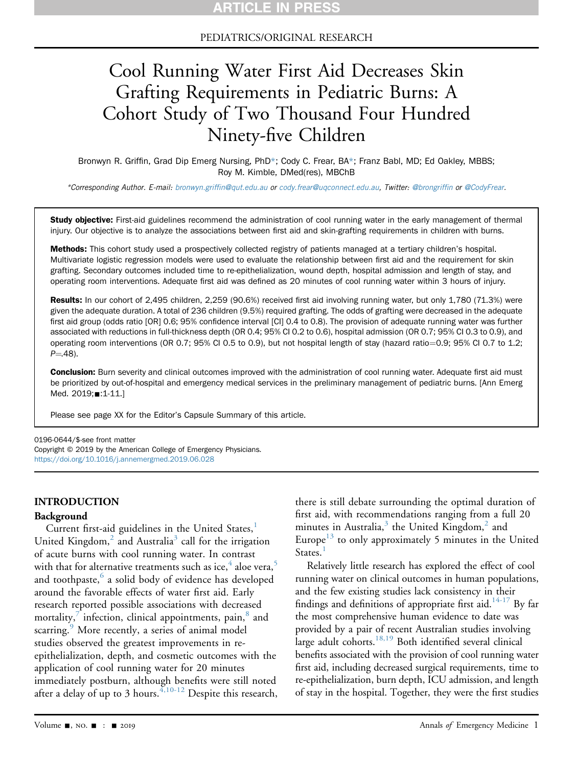### PEDIATRICS/ORIGINAL RESEARCH

# Cool Running Water First Aid Decreases Skin Grafting Requirements in Pediatric Burns: A Cohort Study of Two Thousand Four Hundred Ninety-five Children

Bronwyn R. Griffin, Grad Dip Emerg Nursing, PhD\*; Cody C. Frear, BA\*; Franz Babl, MD; Ed Oakley, MBBS; Roy M. Kimble, DMed(res), MBChB

\*Corresponding Author. E-mail: bronwyn.griffi[n@qut.edu.au](mailto:bronwyn.griffin@qut.edu.au) or [cody.frear@uqconnect.edu.au](mailto:cody.frear@uqconnect.edu.au), Twitter: [@brongrif](https://twitter.com/brongriffin)fin or [@CodyFrear](https://twitter.com/CodyFrear).

Study objective: First-aid guidelines recommend the administration of cool running water in the early management of thermal injury. Our objective is to analyze the associations between first aid and skin-grafting requirements in children with burns.

Methods: This cohort study used a prospectively collected registry of patients managed at a tertiary children's hospital. Multivariate logistic regression models were used to evaluate the relationship between first aid and the requirement for skin grafting. Secondary outcomes included time to re-epithelialization, wound depth, hospital admission and length of stay, and operating room interventions. Adequate first aid was defined as 20 minutes of cool running water within 3 hours of injury.

Results: In our cohort of 2,495 children, 2,259 (90.6%) received first aid involving running water, but only 1,780 (71.3%) were given the adequate duration. A total of 236 children (9.5%) required grafting. The odds of grafting were decreased in the adequate first aid group (odds ratio [OR] 0.6; 95% confidence interval [CI] 0.4 to 0.8). The provision of adequate running water was further associated with reductions in full-thickness depth (OR 0.4; 95% CI 0.2 to 0.6), hospital admission (OR 0.7; 95% CI 0.3 to 0.9), and operating room interventions (OR 0.7; 95% CI 0.5 to 0.9), but not hospital length of stay (hazard ratio=0.9; 95% CI 0.7 to 1.2;  $P = 48$ ).

Conclusion: Burn severity and clinical outcomes improved with the administration of cool running water. Adequate first aid must be prioritized by out-of-hospital and emergency medical services in the preliminary management of pediatric burns. [Ann Emerg Med. 2019; :1-11.]

Please see page XX for the Editor's Capsule Summary of this article.

0196-0644/\$-see front matter Copyright © 2019 by the American College of Emergency Physicians. <https://doi.org/10.1016/j.annemergmed.2019.06.028>

### INTRODUCTION

### Background

Current first-aid guidelines in the United States, $<sup>1</sup>$  $<sup>1</sup>$  $<sup>1</sup>$ </sup> United Kingdom, $<sup>2</sup>$  $<sup>2</sup>$  $<sup>2</sup>$  and Australia<sup>[3](#page-9-2)</sup> call for the irrigation</sup> of acute burns with cool running water. In contrast with that for alternative treatments such as ice, $4$  aloe vera,<sup>[5](#page-9-4)</sup> and toothpaste, $6$  a solid body of evidence has developed around the favorable effects of water first aid. Early research reported possible associations with decreased mortality, $\frac{7}{1}$  $\frac{7}{1}$  $\frac{7}{1}$  infection, clinical appointments, pain, $\frac{8}{1}$  $\frac{8}{1}$  $\frac{8}{1}$  and scarring.<sup>[9](#page-9-8)</sup> More recently, a series of animal model studies observed the greatest improvements in reepithelialization, depth, and cosmetic outcomes with the application of cool running water for 20 minutes immediately postburn, although benefits were still noted after a delay of up to 3 hours.  $4,10-12$  Despite this research, there is still debate surrounding the optimal duration of first aid, with recommendations ranging from a full 20 minutes in Australia, $3$  the United Kingdom, $2$  and Europe<sup>[13](#page-9-9)</sup> to only approximately 5 minutes in the United States.<sup>[1](#page-9-0)</sup>

Relatively little research has explored the effect of cool running water on clinical outcomes in human populations, and the few existing studies lack consistency in their findings and definitions of appropriate first aid.<sup>14-17</sup> By far the most comprehensive human evidence to date was provided by a pair of recent Australian studies involving large adult cohorts.<sup>18,19</sup> Both identified several clinical benefits associated with the provision of cool running water first aid, including decreased surgical requirements, time to re-epithelialization, burn depth, ICU admission, and length of stay in the hospital. Together, they were the first studies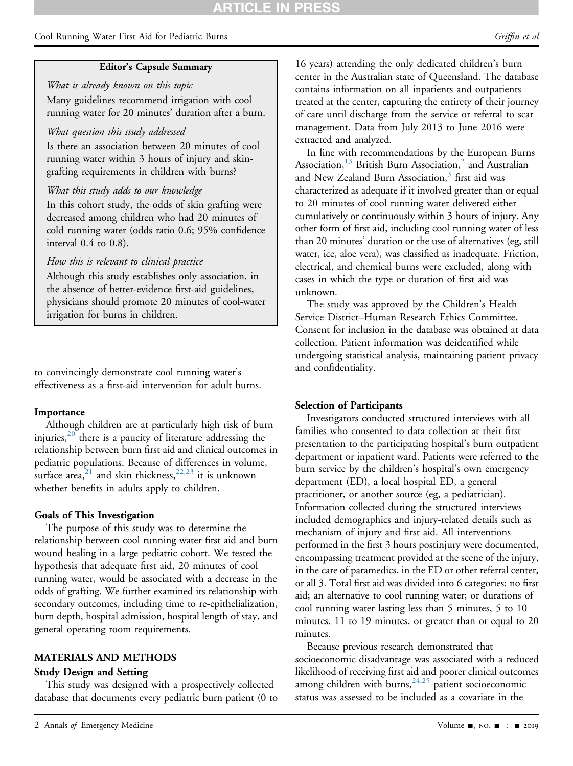## **\RTICLE IN PRES**

Cool Running Water First Aid for Pediatric Burns Griffin et al. (Griffin et al. Griffin et al. Griffin et al.

### Editor's Capsule Summary

What is already known on this topic Many guidelines recommend irrigation with cool running water for 20 minutes' duration after a burn.

### What question this study addressed

Is there an association between 20 minutes of cool running water within 3 hours of injury and skingrafting requirements in children with burns?

### What this study adds to our knowledge

In this cohort study, the odds of skin grafting were decreased among children who had 20 minutes of cold running water (odds ratio 0.6; 95% confidence interval 0.4 to 0.8).

### How this is relevant to clinical practice

Although this study establishes only association, in the absence of better-evidence first-aid guidelines, physicians should promote 20 minutes of cool-water irrigation for burns in children.

to convincingly demonstrate cool running water's effectiveness as a first-aid intervention for adult burns.

### Importance

Although children are at particularly high risk of burn injuries, $20$  there is a paucity of literature addressing the relationship between burn first aid and clinical outcomes in pediatric populations. Because of differences in volume, surface area,<sup>[21](#page-10-2)</sup> and skin thickness,<sup>[22,23](#page-10-3)</sup> it is unknown whether benefits in adults apply to children.

### Goals of This Investigation

The purpose of this study was to determine the relationship between cool running water first aid and burn wound healing in a large pediatric cohort. We tested the hypothesis that adequate first aid, 20 minutes of cool running water, would be associated with a decrease in the odds of grafting. We further examined its relationship with secondary outcomes, including time to re-epithelialization, burn depth, hospital admission, hospital length of stay, and general operating room requirements.

### MATERIALS AND METHODS

### Study Design and Setting

This study was designed with a prospectively collected database that documents every pediatric burn patient (0 to

16 years) attending the only dedicated children's burn center in the Australian state of Queensland. The database contains information on all inpatients and outpatients treated at the center, capturing the entirety of their journey of care until discharge from the service or referral to scar management. Data from July 2013 to June 2016 were extracted and analyzed.

In line with recommendations by the European Burns Association,<sup>[13](#page-9-9)</sup> British Burn Association,<sup>2</sup> and Australian and New Zealand Burn Association,<sup>[3](#page-9-2)</sup> first aid was characterized as adequate if it involved greater than or equal to 20 minutes of cool running water delivered either cumulatively or continuously within 3 hours of injury. Any other form of first aid, including cool running water of less than 20 minutes' duration or the use of alternatives (eg, still water, ice, aloe vera), was classified as inadequate. Friction, electrical, and chemical burns were excluded, along with cases in which the type or duration of first aid was unknown.

The study was approved by the Children's Health Service District–Human Research Ethics Committee. Consent for inclusion in the database was obtained at data collection. Patient information was deidentified while undergoing statistical analysis, maintaining patient privacy and confidentiality.

### Selection of Participants

Investigators conducted structured interviews with all families who consented to data collection at their first presentation to the participating hospital's burn outpatient department or inpatient ward. Patients were referred to the burn service by the children's hospital's own emergency department (ED), a local hospital ED, a general practitioner, or another source (eg, a pediatrician). Information collected during the structured interviews included demographics and injury-related details such as mechanism of injury and first aid. All interventions performed in the first 3 hours postinjury were documented, encompassing treatment provided at the scene of the injury, in the care of paramedics, in the ED or other referral center, or all 3. Total first aid was divided into 6 categories: no first aid; an alternative to cool running water; or durations of cool running water lasting less than 5 minutes, 5 to 10 minutes, 11 to 19 minutes, or greater than or equal to 20 minutes.

Because previous research demonstrated that socioeconomic disadvantage was associated with a reduced likelihood of receiving first aid and poorer clinical outcomes among children with burns,  $^{24,25}$  $^{24,25}$  $^{24,25}$  patient socioeconomic status was assessed to be included as a covariate in the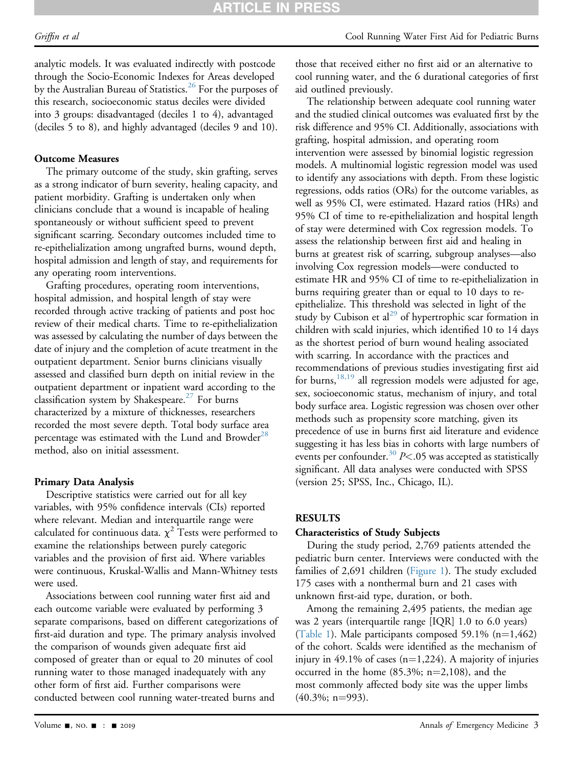analytic models. It was evaluated indirectly with postcode through the Socio-Economic Indexes for Areas developed by the Australian Bureau of Statistics.<sup>[26](#page-10-5)</sup> For the purposes of this research, socioeconomic status deciles were divided into 3 groups: disadvantaged (deciles 1 to 4), advantaged (deciles 5 to 8), and highly advantaged (deciles 9 and 10).

## Outcome Measures

The primary outcome of the study, skin grafting, serves as a strong indicator of burn severity, healing capacity, and patient morbidity. Grafting is undertaken only when clinicians conclude that a wound is incapable of healing spontaneously or without sufficient speed to prevent significant scarring. Secondary outcomes included time to re-epithelialization among ungrafted burns, wound depth, hospital admission and length of stay, and requirements for any operating room interventions.

Grafting procedures, operating room interventions, hospital admission, and hospital length of stay were recorded through active tracking of patients and post hoc review of their medical charts. Time to re-epithelialization was assessed by calculating the number of days between the date of injury and the completion of acute treatment in the outpatient department. Senior burns clinicians visually assessed and classified burn depth on initial review in the outpatient department or inpatient ward according to the classification system by Shakespeare.<sup>[27](#page-10-6)</sup> For burns characterized by a mixture of thicknesses, researchers recorded the most severe depth. Total body surface area percentage was estimated with the Lund and Browder<sup>[28](#page-10-7)</sup> method, also on initial assessment.

### Primary Data Analysis

Descriptive statistics were carried out for all key variables, with 95% confidence intervals (CIs) reported where relevant. Median and interquartile range were calculated for continuous data.  $\chi^2$  Tests were performed to examine the relationships between purely categoric variables and the provision of first aid. Where variables were continuous, Kruskal-Wallis and Mann-Whitney tests were used.

Associations between cool running water first aid and each outcome variable were evaluated by performing 3 separate comparisons, based on different categorizations of first-aid duration and type. The primary analysis involved the comparison of wounds given adequate first aid composed of greater than or equal to 20 minutes of cool running water to those managed inadequately with any other form of first aid. Further comparisons were conducted between cool running water-treated burns and

those that received either no first aid or an alternative to cool running water, and the 6 durational categories of first aid outlined previously.

The relationship between adequate cool running water and the studied clinical outcomes was evaluated first by the risk difference and 95% CI. Additionally, associations with grafting, hospital admission, and operating room intervention were assessed by binomial logistic regression models. A multinomial logistic regression model was used to identify any associations with depth. From these logistic regressions, odds ratios (ORs) for the outcome variables, as well as 95% CI, were estimated. Hazard ratios (HRs) and 95% CI of time to re-epithelialization and hospital length of stay were determined with Cox regression models. To assess the relationship between first aid and healing in burns at greatest risk of scarring, subgroup analyses—also involving Cox regression models—were conducted to estimate HR and 95% CI of time to re-epithelialization in burns requiring greater than or equal to 10 days to reepithelialize. This threshold was selected in light of the study by Cubison et al<sup>[29](#page-10-8)</sup> of hypertrophic scar formation in children with scald injuries, which identified 10 to 14 days as the shortest period of burn wound healing associated with scarring. In accordance with the practices and recommendations of previous studies investigating first aid for burns,  $18,19$  all regression models were adjusted for age, sex, socioeconomic status, mechanism of injury, and total body surface area. Logistic regression was chosen over other methods such as propensity score matching, given its precedence of use in burns first aid literature and evidence suggesting it has less bias in cohorts with large numbers of events per confounder.<sup>[30](#page-10-9)</sup>  $P$ <.05 was accepted as statistically significant. All data analyses were conducted with SPSS (version 25; SPSS, Inc., Chicago, IL).

## RESULTS

### Characteristics of Study Subjects

During the study period, 2,769 patients attended the pediatric burn center. Interviews were conducted with the families of 2,691 children ([Figure 1](#page-3-0)). The study excluded 175 cases with a nonthermal burn and 21 cases with unknown first-aid type, duration, or both.

Among the remaining 2,495 patients, the median age was 2 years (interquartile range [IQR] 1.0 to 6.0 years) ([Table 1\)](#page-3-1). Male participants composed 59.1%  $(n=1,462)$ of the cohort. Scalds were identified as the mechanism of injury in 49.1% of cases  $(n=1,224)$ . A majority of injuries occurred in the home  $(85.3\%; n=2,108)$ , and the most commonly affected body site was the upper limbs  $(40.3\%; n=993).$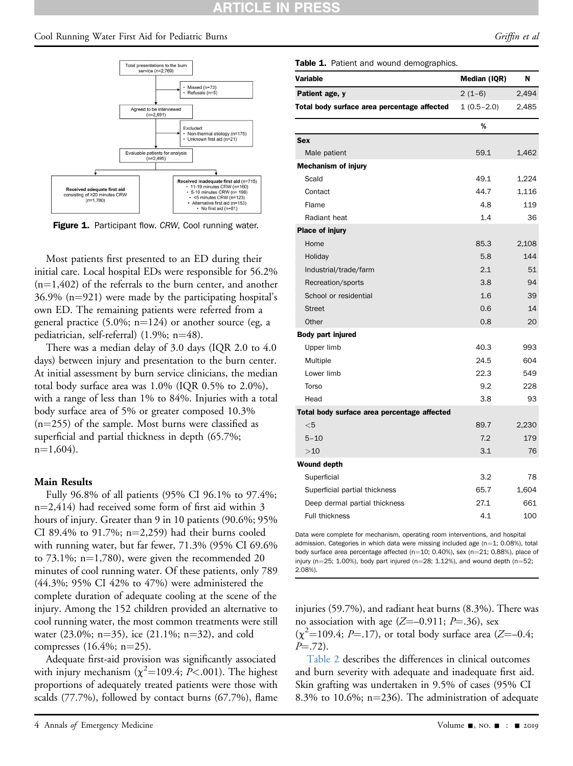#### ARTICLE IN **PRES**

### <span id="page-3-0"></span>Cool Running Water First Aid for Pediatric Burns Griffin et al. (Griffin et al. Griffin et al. Griffin et al.



Figure 1. Participant flow. CRW, Cool running water.

Most patients first presented to an ED during their initial care. Local hospital EDs were responsible for 56.2%  $(n=1,402)$  of the referrals to the burn center, and another  $36.9\%$  (n=921) were made by the participating hospital's own ED. The remaining patients were referred from a general practice  $(5.0\%; n=124)$  or another source (eg, a pediatrician, self-referral)  $(1.9\%; n=48)$ .

There was a median delay of 3.0 days (IQR 2.0 to 4.0 days) between injury and presentation to the burn center. At initial assessment by burn service clinicians, the median total body surface area was 1.0% (IQR 0.5% to 2.0%), with a range of less than 1% to 84%. Injuries with a total body surface area of 5% or greater composed 10.3%  $(n=255)$  of the sample. Most burns were classified as superficial and partial thickness in depth (65.7%;  $n=1,604$ ).

## Main Results

Fully 96.8% of all patients (95% CI 96.1% to 97.4%;  $n=2,414$ ) had received some form of first aid within 3 hours of injury. Greater than 9 in 10 patients (90.6%; 95% CI 89.4% to 91.7%;  $n=2,259$ ) had their burns cooled with running water, but far fewer, 71.3% (95% CI 69.6% to  $73.1\%$ ; n=1,780), were given the recommended 20 minutes of cool running water. Of these patients, only 789 (44.3%; 95% CI 42% to 47%) were administered the complete duration of adequate cooling at the scene of the injury. Among the 152 children provided an alternative to cool running water, the most common treatments were still water  $(23.0\%; n=35)$ , ice  $(21.1\%; n=32)$ , and cold compresses  $(16.4\%; n=25)$ .

Adequate first-aid provision was significantly associated with injury mechanism ( $\chi^2$ =109.4; P<.001). The highest proportions of adequately treated patients were those with scalds (77.7%), followed by contact burns (67.7%), flame

### Table 1. Patient and wound demographics

| <b>rable 1.</b> Fatient and wound demographics. |              |       |  |  |  |
|-------------------------------------------------|--------------|-------|--|--|--|
| Variable                                        | Median (IQR) | N     |  |  |  |
| Patient age, y                                  | $2(1-6)$     | 2,494 |  |  |  |
| Total body surface area percentage affected     | $1(0.5-2.0)$ | 2,485 |  |  |  |
|                                                 | %            |       |  |  |  |
| <b>Sex</b>                                      |              |       |  |  |  |
| Male patient                                    | 59.1         | 1,462 |  |  |  |
| <b>Mechanism of injury</b>                      |              |       |  |  |  |
| Scald                                           | 49.1         | 1,224 |  |  |  |
| Contact                                         | 44.7         | 1,116 |  |  |  |
| Flame                                           | 4.8          | 119   |  |  |  |
| Radiant heat                                    | 1.4          | 36    |  |  |  |
| Place of injury                                 |              |       |  |  |  |
| Home                                            | 85.3         | 2,108 |  |  |  |
| Holiday                                         | 5.8          | 144   |  |  |  |
| Industrial/trade/farm                           | 2.1          | 51    |  |  |  |
|                                                 |              |       |  |  |  |

| Industrial/trade/farm                       | 2.1  | 51    |
|---------------------------------------------|------|-------|
| Recreation/sports                           | 3.8  | 94    |
| School or residential                       | 1.6  | 39    |
| <b>Street</b>                               | 0.6  | 14    |
| Other                                       | 0.8  | 20    |
| Body part injured                           |      |       |
| Upper limb                                  | 40.3 | 993   |
| Multiple                                    | 24.5 | 604   |
| Lower limb                                  | 22.3 | 549   |
| Torso                                       | 9.2  | 228   |
| Head                                        | 3.8  | 93    |
| Total body surface area percentage affected |      |       |
| $<$ 5                                       | 89.7 | 2,230 |
| $5 - 10$                                    | 7.2  | 179   |
| >10                                         | 3.1  | 76    |
| <b>Wound depth</b>                          |      |       |
| Superficial                                 | 3.2  | 78    |
| Superficial partial thickness               | 65.7 | 1,604 |
| Deep dermal partial thickness               | 27.1 | 661   |
| Full thickness                              | 4.1  | 100   |

<span id="page-3-1"></span>Data were complete for mechanism, operating room interventions, and hospital admission. Categories in which data were missing included age ( $n=1$ ; 0.08%), total body surface area percentage affected (n=10; 0.40%), sex (n=21; 0.88%), place of injury (n=25; 1.00%), body part injured (n=28; 1.12%), and wound depth (n=52; 2.08%).

injuries (59.7%), and radiant heat burns (8.3%). There was no association with age  $(Z=-0.911; P=.36)$ , sex  $(\chi^2 = 109.4; P = .17)$ , or total body surface area (Z=-0.4;  $P = 72$ .

[Table 2](#page-4-0) describes the differences in clinical outcomes and burn severity with adequate and inadequate first aid. Skin grafting was undertaken in 9.5% of cases (95% CI 8.3% to 10.6%;  $n=236$ ). The administration of adequate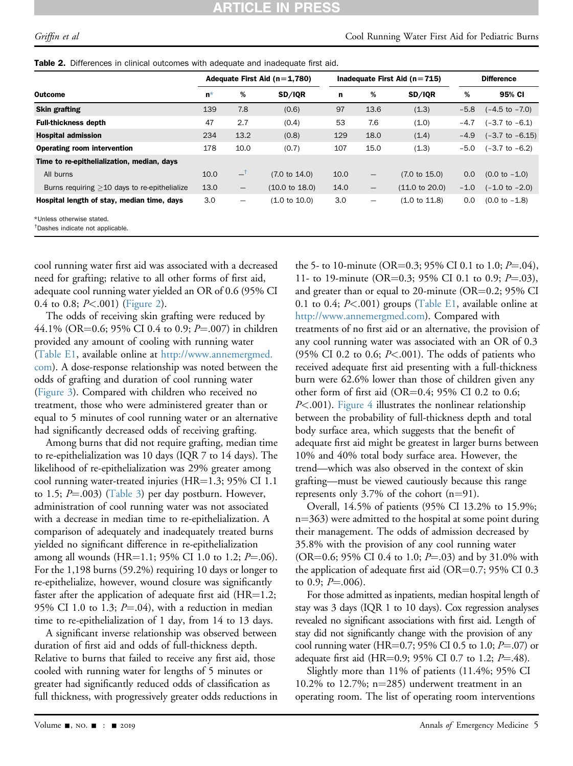### RTICLE IN **PRES**

<span id="page-4-0"></span>

| Table 2. Differences in clinical outcomes with adequate and inadequate first aid. |  |  |  |  |
|-----------------------------------------------------------------------------------|--|--|--|--|
|                                                                                   |  |  |  |  |

|                                                | Adequate First Aid $(n=1,780)$ |                          |                           | Inadequate First Aid ( $n = 715$ ) |                   |                           | <b>Difference</b> |                            |
|------------------------------------------------|--------------------------------|--------------------------|---------------------------|------------------------------------|-------------------|---------------------------|-------------------|----------------------------|
| <b>Outcome</b>                                 | $n^*$                          | %                        | SD/IQR                    | $\mathbf n$                        | %                 | SD/IQR                    | %                 | 95% CI                     |
| <b>Skin grafting</b>                           | 139                            | 7.8                      | (0.6)                     | 97                                 | 13.6              | (1.3)                     | $-5.8$            | $(-4.5 \text{ to } -7.0)$  |
| <b>Full-thickness depth</b>                    | 47                             | 2.7                      | (0.4)                     | 53                                 | 7.6               | (1.0)                     | $-4.7$            | $(-3.7 \text{ to } -6.1)$  |
| <b>Hospital admission</b>                      | 234                            | 13.2                     | (0.8)                     | 129                                | 18.0              | (1.4)                     | $-4.9$            | $(-3.7 \text{ to } -6.15)$ |
| <b>Operating room intervention</b>             | 178                            | 10.0                     | (0.7)                     | 107                                | 15.0              | (1.3)                     | $-5.0$            | $(-3.7 \text{ to } -6.2)$  |
| Time to re-epithelialization, median, days     |                                |                          |                           |                                    |                   |                           |                   |                            |
| All burns                                      | 10.0                           | $-1$                     | $(7.0 \text{ to } 14.0)$  | 10.0                               | $\qquad \qquad -$ | $(7.0 \text{ to } 15.0)$  | 0.0               | $(0.0 \text{ to } -1.0)$   |
| Burns requiring $>10$ days to re-epithelialize | 13.0                           | $\overline{\phantom{m}}$ | $(10.0 \text{ to } 18.0)$ | 14.0                               | $\qquad \qquad -$ | $(11.0 \text{ to } 20.0)$ | $-1.0$            | $(-1.0 \text{ to } -2.0)$  |
| Hospital length of stay, median time, days     | 3.0                            | —                        | $(1.0 \text{ to } 10.0)$  | 3.0                                | —                 | (1.0 to 11.8)             | 0.0               | $(0.0 to -1.8)$            |
| *Unless otherwise stated.                      |                                |                          |                           |                                    |                   |                           |                   |                            |

<span id="page-4-2"></span><span id="page-4-1"></span>† Dashes indicate not applicable.

cool running water first aid was associated with a decreased need for grafting; relative to all other forms of first aid, adequate cool running water yielded an OR of 0.6 (95% CI 0.4 to 0.8;  $P<.001$ ) [\(Figure 2](#page-5-0)).

The odds of receiving skin grafting were reduced by 44.1% (OR=0.6; 95% CI 0.4 to 0.9; P=.007) in children provided any amount of cooling with running water (Table E1, available online at [http://www.annemergmed.](http://www.annemergmed.com) [com](http://www.annemergmed.com)). A dose-response relationship was noted between the odds of grafting and duration of cool running water [\(Figure 3](#page-6-0)). Compared with children who received no treatment, those who were administered greater than or equal to 5 minutes of cool running water or an alternative had significantly decreased odds of receiving grafting.

Among burns that did not require grafting, median time to re-epithelialization was 10 days (IQR 7 to 14 days). The likelihood of re-epithelialization was 29% greater among cool running water-treated injuries ( $HR=1.3$ ; 95% CI 1.1 to 1.5;  $P = .003$ ) [\(Table 3](#page-6-1)) per day postburn. However, administration of cool running water was not associated with a decrease in median time to re-epithelialization. A comparison of adequately and inadequately treated burns yielded no significant difference in re-epithelialization among all wounds (HR=1.1; 95% CI 1.0 to 1.2;  $P = .06$ ). For the 1,198 burns (59.2%) requiring 10 days or longer to re-epithelialize, however, wound closure was significantly faster after the application of adequate first aid  $(HR=1.2;$ 95% CI 1.0 to 1.3;  $P = .04$ ), with a reduction in median time to re-epithelialization of 1 day, from 14 to 13 days.

A significant inverse relationship was observed between duration of first aid and odds of full-thickness depth. Relative to burns that failed to receive any first aid, those cooled with running water for lengths of 5 minutes or greater had significantly reduced odds of classification as full thickness, with progressively greater odds reductions in the 5- to 10-minute (OR=0.3; 95% CI 0.1 to 1.0;  $P = 0.04$ ), 11- to 19-minute (OR=0.3; 95% CI 0.1 to 0.9;  $P = .03$ ), and greater than or equal to 20-minute ( $OR=0.2$ ; 95% CI 0.1 to 0.4;  $P<$  0.01) groups (Table E1, available online at [http://www.annemergmed.com\)](http://www.annemergmed.com). Compared with treatments of no first aid or an alternative, the provision of any cool running water was associated with an OR of 0.3 (95% CI 0.2 to 0.6;  $P<.001$ ). The odds of patients who received adequate first aid presenting with a full-thickness burn were 62.6% lower than those of children given any other form of first aid  $(OR=0.4; 95\% \text{ CI } 0.2 \text{ to } 0.6;$  $P<.001$ ). [Figure 4](#page-7-0) illustrates the nonlinear relationship between the probability of full-thickness depth and total body surface area, which suggests that the benefit of adequate first aid might be greatest in larger burns between 10% and 40% total body surface area. However, the trend—which was also observed in the context of skin grafting—must be viewed cautiously because this range represents only 3.7% of the cohort  $(n=91)$ .

Overall, 14.5% of patients (95% CI 13.2% to 15.9%;  $n=363$ ) were admitted to the hospital at some point during their management. The odds of admission decreased by 35.8% with the provision of any cool running water (OR=0.6; 95% CI 0.4 to 1.0;  $P = .03$ ) and by 31.0% with the application of adequate first aid (OR=0.7; 95% CI 0.3 to 0.9;  $P = .006$ ).

For those admitted as inpatients, median hospital length of stay was 3 days (IQR 1 to 10 days). Cox regression analyses revealed no significant associations with first aid. Length of stay did not significantly change with the provision of any cool running water (HR=0.7; 95% CI 0.5 to 1.0;  $P=0.07$ ) or adequate first aid (HR=0.9; 95% CI 0.7 to 1.2;  $P = .48$ ).

Slightly more than 11% of patients (11.4%; 95% CI 10.2% to 12.7%;  $n=285$ ) underwent treatment in an operating room. The list of operating room interventions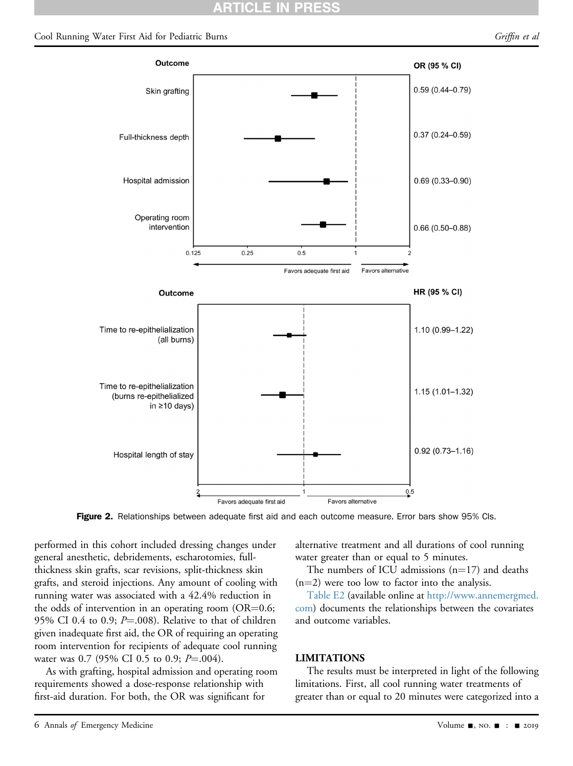## RTICLE IN

### <span id="page-5-0"></span>Cool Running Water First Aid for Pediatric Burns Griffin et al. (Griffin et al. Griffin et al. Griffin et al.



Figure 2. Relationships between adequate first aid and each outcome measure. Error bars show 95% CIs.

performed in this cohort included dressing changes under general anesthetic, debridements, escharotomies, fullthickness skin grafts, scar revisions, split-thickness skin grafts, and steroid injections. Any amount of cooling with running water was associated with a 42.4% reduction in the odds of intervention in an operating room ( $OR=0.6$ ; 95% CI 0.4 to 0.9;  $P = .008$ ). Relative to that of children given inadequate first aid, the OR of requiring an operating room intervention for recipients of adequate cool running water was 0.7 (95% CI 0.5 to 0.9;  $P = 0.04$ ).

As with grafting, hospital admission and operating room requirements showed a dose-response relationship with first-aid duration. For both, the OR was significant for

alternative treatment and all durations of cool running water greater than or equal to 5 minutes.

The numbers of ICU admissions  $(n=17)$  and deaths  $(n=2)$  were too low to factor into the analysis.

Table E2 (available online at [http://www.annemergmed.](http://www.annemergmed.com) [com\)](http://www.annemergmed.com) documents the relationships between the covariates and outcome variables.

### LIMITATIONS

The results must be interpreted in light of the following limitations. First, all cool running water treatments of greater than or equal to 20 minutes were categorized into a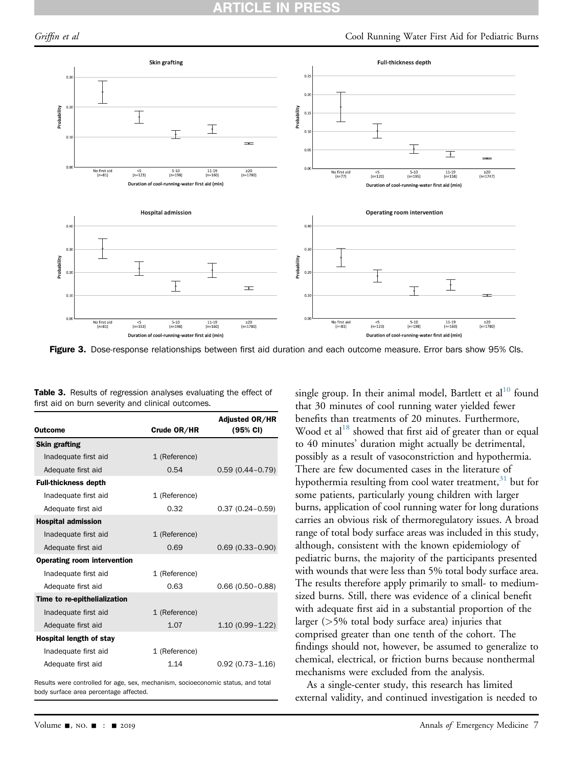<span id="page-6-0"></span>

Figure 3. Dose-response relationships between first aid duration and each outcome measure. Error bars show 95% CIs.

| <b>Table 3.</b> Results of regression analyses evaluating the effect of |  |  |  |
|-------------------------------------------------------------------------|--|--|--|
| first aid on burn severity and clinical outcomes.                       |  |  |  |

| <b>Outcome</b>                     | Crude OR/HR   | <b>Adjusted OR/HR</b><br>$(95% \text{ Cl})$ |
|------------------------------------|---------------|---------------------------------------------|
| <b>Skin grafting</b>               |               |                                             |
| Inadequate first aid               | 1 (Reference) |                                             |
| Adequate first aid                 | 0.54          | $0.59(0.44 - 0.79)$                         |
| <b>Full-thickness depth</b>        |               |                                             |
| Inadequate first aid               | 1 (Reference) |                                             |
| Adequate first aid                 | 0.32          | $0.37(0.24 - 0.59)$                         |
| <b>Hospital admission</b>          |               |                                             |
| Inadequate first aid               | 1 (Reference) |                                             |
| Adequate first aid                 | 0.69          | $0.69(0.33 - 0.90)$                         |
| <b>Operating room intervention</b> |               |                                             |
| Inadequate first aid               | 1 (Reference) |                                             |
| Adequate first aid                 | 0.63          | $0.66(0.50 - 0.88)$                         |
| Time to re-epithelialization       |               |                                             |
| Inadequate first aid               | 1 (Reference) |                                             |
| Adequate first aid                 | 1.07          | $1.10(0.99 - 1.22)$                         |
| Hospital length of stay            |               |                                             |
| Inadequate first aid               | 1 (Reference) |                                             |
| Adequate first aid                 | 1.14          | $0.92(0.73 - 1.16)$                         |

<span id="page-6-1"></span>Results were controlled for age, sex, mechanism, socioeconomic status, and total body surface area percentage affected.

single group. In their animal model, Bartlett et  $al<sup>10</sup>$  $al<sup>10</sup>$  $al<sup>10</sup>$  found that 30 minutes of cool running water yielded fewer benefits than treatments of 20 minutes. Furthermore, Wood et al $^{18}$  showed that first aid of greater than or equal to 40 minutes' duration might actually be detrimental, possibly as a result of vasoconstriction and hypothermia. There are few documented cases in the literature of hypothermia resulting from cool water treatment,<sup>[31](#page-10-10)</sup> but for some patients, particularly young children with larger burns, application of cool running water for long durations carries an obvious risk of thermoregulatory issues. A broad range of total body surface areas was included in this study, although, consistent with the known epidemiology of pediatric burns, the majority of the participants presented with wounds that were less than 5% total body surface area. The results therefore apply primarily to small- to mediumsized burns. Still, there was evidence of a clinical benefit with adequate first aid in a substantial proportion of the larger (>5% total body surface area) injuries that comprised greater than one tenth of the cohort. The findings should not, however, be assumed to generalize to chemical, electrical, or friction burns because nonthermal mechanisms were excluded from the analysis.

As a single-center study, this research has limited external validity, and continued investigation is needed to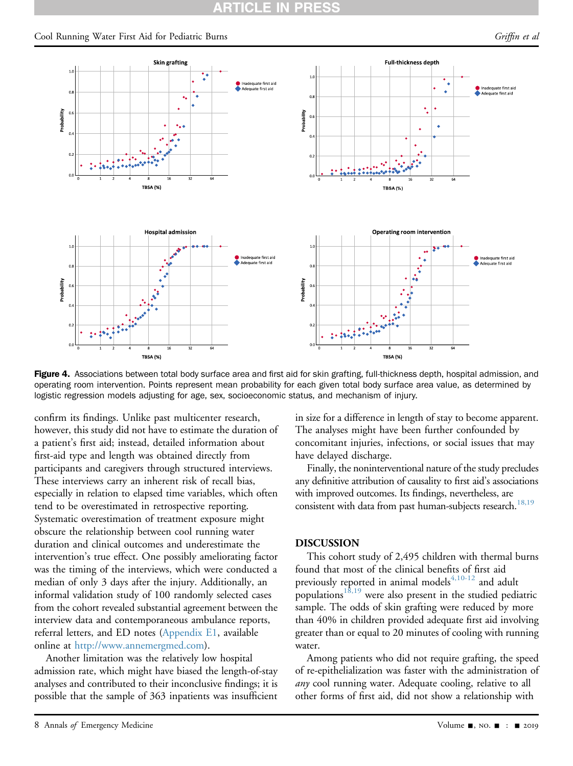### <span id="page-7-0"></span>Cool Running Water First Aid for Pediatric Burns Griffin et al. (Griffin et al. Griffin et al. Griffin et al.



Figure 4. Associations between total body surface area and first aid for skin grafting, full-thickness depth, hospital admission, and operating room intervention. Points represent mean probability for each given total body surface area value, as determined by logistic regression models adjusting for age, sex, socioeconomic status, and mechanism of injury.

confirm its findings. Unlike past multicenter research, however, this study did not have to estimate the duration of a patient's first aid; instead, detailed information about first-aid type and length was obtained directly from participants and caregivers through structured interviews. These interviews carry an inherent risk of recall bias, especially in relation to elapsed time variables, which often tend to be overestimated in retrospective reporting. Systematic overestimation of treatment exposure might obscure the relationship between cool running water duration and clinical outcomes and underestimate the intervention's true effect. One possibly ameliorating factor was the timing of the interviews, which were conducted a median of only 3 days after the injury. Additionally, an informal validation study of 100 randomly selected cases from the cohort revealed substantial agreement between the interview data and contemporaneous ambulance reports, referral letters, and ED notes (Appendix E1, available online at <http://www.annemergmed.com>).

Another limitation was the relatively low hospital admission rate, which might have biased the length-of-stay analyses and contributed to their inconclusive findings; it is possible that the sample of 363 inpatients was insufficient in size for a difference in length of stay to become apparent. The analyses might have been further confounded by concomitant injuries, infections, or social issues that may have delayed discharge.

Finally, the noninterventional nature of the study precludes any definitive attribution of causality to first aid's associations with improved outcomes. Its findings, nevertheless, are consistent with data from past human-subjects research.<sup>[18,19](#page-10-0)</sup>

### DISCUSSION

This cohort study of 2,495 children with thermal burns found that most of the clinical benefits of first aid previously reported in animal models $4,10-12$  and adult populations $1^{\frac{1}{3},19}$  were also present in the studied pediatric sample. The odds of skin grafting were reduced by more than 40% in children provided adequate first aid involving greater than or equal to 20 minutes of cooling with running water.

Among patients who did not require grafting, the speed of re-epithelialization was faster with the administration of any cool running water. Adequate cooling, relative to all other forms of first aid, did not show a relationship with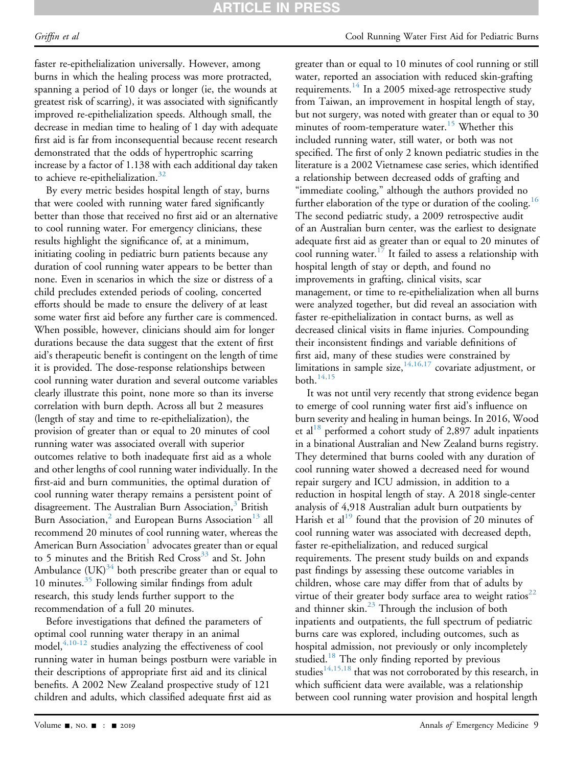## RTICLE IN PRESS

### Griffin et al Cool Running Water First Aid for Pediatric Burns

faster re-epithelialization universally. However, among burns in which the healing process was more protracted, spanning a period of 10 days or longer (ie, the wounds at greatest risk of scarring), it was associated with significantly improved re-epithelialization speeds. Although small, the decrease in median time to healing of 1 day with adequate first aid is far from inconsequential because recent research demonstrated that the odds of hypertrophic scarring increase by a factor of 1.138 with each additional day taken to achieve re-epithelialization.<sup>[32](#page-10-11)</sup>

By every metric besides hospital length of stay, burns that were cooled with running water fared significantly better than those that received no first aid or an alternative to cool running water. For emergency clinicians, these results highlight the significance of, at a minimum, initiating cooling in pediatric burn patients because any duration of cool running water appears to be better than none. Even in scenarios in which the size or distress of a child precludes extended periods of cooling, concerted efforts should be made to ensure the delivery of at least some water first aid before any further care is commenced. When possible, however, clinicians should aim for longer durations because the data suggest that the extent of first aid's therapeutic benefit is contingent on the length of time it is provided. The dose-response relationships between cool running water duration and several outcome variables clearly illustrate this point, none more so than its inverse correlation with burn depth. Across all but 2 measures (length of stay and time to re-epithelialization), the provision of greater than or equal to 20 minutes of cool running water was associated overall with superior outcomes relative to both inadequate first aid as a whole and other lengths of cool running water individually. In the first-aid and burn communities, the optimal duration of cool running water therapy remains a persistent point of disagreement. The Australian Burn Association,<sup>[3](#page-9-2)</sup> British Burn Association,<sup>2</sup> and European Burns Association<sup>13</sup> all recommend 20 minutes of cool running water, whereas the American Burn Association<sup>1</sup> advocates greater than or equal to 5 minutes and the British Red Cross<sup>[33](#page-10-12)</sup> and St. John Ambulance  $(UK)^{34}$  both prescribe greater than or equal to 10 minutes. $35$  Following similar findings from adult research, this study lends further support to the recommendation of a full 20 minutes.

Before investigations that defined the parameters of optimal cool running water therapy in an animal  $\frac{4,10-12}{2}$  $\frac{4,10-12}{2}$  $\frac{4,10-12}{2}$  studies analyzing the effectiveness of cool running water in human beings postburn were variable in their descriptions of appropriate first aid and its clinical benefits. A 2002 New Zealand prospective study of 121 children and adults, which classified adequate first aid as

greater than or equal to 10 minutes of cool running or still water, reported an association with reduced skin-grafting requirements.<sup>14</sup> In a 2005 mixed-age retrospective study from Taiwan, an improvement in hospital length of stay, but not surgery, was noted with greater than or equal to 30 minutes of room-temperature water.<sup>[15](#page-9-12)</sup> Whether this included running water, still water, or both was not specified. The first of only 2 known pediatric studies in the literature is a 2002 Vietnamese case series, which identified a relationship between decreased odds of grafting and "immediate cooling," although the authors provided no further elaboration of the type or duration of the cooling.<sup>[16](#page-10-15)</sup> The second pediatric study, a 2009 retrospective audit of an Australian burn center, was the earliest to designate adequate first aid as greater than or equal to 20 minutes of cool running water.<sup>[17](#page-10-16)</sup> It failed to assess a relationship with hospital length of stay or depth, and found no improvements in grafting, clinical visits, scar management, or time to re-epithelialization when all burns were analyzed together, but did reveal an association with faster re-epithelialization in contact burns, as well as decreased clinical visits in flame injuries. Compounding their inconsistent findings and variable definitions of first aid, many of these studies were constrained by limitations in sample size,  $14,16,17$  covariate adjustment, or both. $14,15$ 

It was not until very recently that strong evidence began to emerge of cool running water first aid's influence on burn severity and healing in human beings. In 2016, Wood et al<sup>[18](#page-10-0)</sup> performed a cohort study of 2,897 adult inpatients in a binational Australian and New Zealand burns registry. They determined that burns cooled with any duration of cool running water showed a decreased need for wound repair surgery and ICU admission, in addition to a reduction in hospital length of stay. A 2018 single-center analysis of 4,918 Australian adult burn outpatients by Harish et al<sup>[19](#page-10-17)</sup> found that the provision of 20 minutes of cool running water was associated with decreased depth, faster re-epithelialization, and reduced surgical requirements. The present study builds on and expands past findings by assessing these outcome variables in children, whose care may differ from that of adults by virtue of their greater body surface area to weight ratios<sup>[22](#page-10-3)</sup> and thinner skin. $^{23}$  Through the inclusion of both inpatients and outpatients, the full spectrum of pediatric burns care was explored, including outcomes, such as hospital admission, not previously or only incompletely studied.<sup>[18](#page-10-0)</sup> The only finding reported by previous studies<sup>[14,15,18](#page-9-10)</sup> that was not corroborated by this research, in which sufficient data were available, was a relationship between cool running water provision and hospital length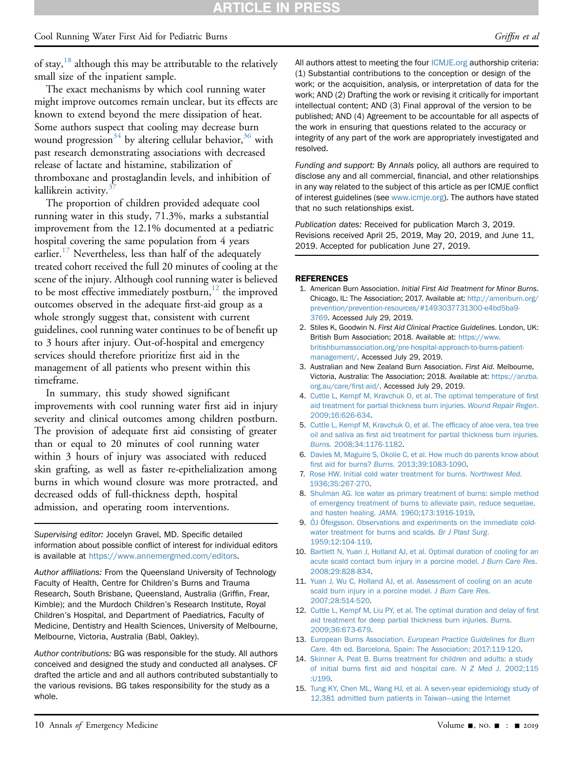## **ARTICLE IN PRESS**

### Cool Running Water First Aid for Pediatric Burns Griffin et al. (Griffin et al. Griffin et al. Griffin et al.

of stay, $18$  although this may be attributable to the relatively small size of the inpatient sample.

The exact mechanisms by which cool running water might improve outcomes remain unclear, but its effects are known to extend beyond the mere dissipation of heat. Some authors suspect that cooling may decrease burn wound progression<sup>[34](#page-10-13)</sup> by altering cellular behavior,<sup>[36](#page-10-19)</sup> with past research demonstrating associations with decreased release of lactate and histamine, stabilization of thromboxane and prostaglandin levels, and inhibition of kallikrein activity. $3$ 

The proportion of children provided adequate cool running water in this study, 71.3%, marks a substantial improvement from the 12.1% documented at a pediatric hospital covering the same population from 4 years earlier.<sup>[17](#page-10-16)</sup> Nevertheless, less than half of the adequately treated cohort received the full 20 minutes of cooling at the scene of the injury. Although cool running water is believed to be most effective immediately postburn, $12$  the improved outcomes observed in the adequate first-aid group as a whole strongly suggest that, consistent with current guidelines, cool running water continues to be of benefit up to 3 hours after injury. Out-of-hospital and emergency services should therefore prioritize first aid in the management of all patients who present within this timeframe.

In summary, this study showed significant improvements with cool running water first aid in injury severity and clinical outcomes among children postburn. The provision of adequate first aid consisting of greater than or equal to 20 minutes of cool running water within 3 hours of injury was associated with reduced skin grafting, as well as faster re-epithelialization among burns in which wound closure was more protracted, and decreased odds of full-thickness depth, hospital admission, and operating room interventions.

Supervising editor: Jocelyn Gravel, MD. Specific detailed information about possible conflict of interest for individual editors is available at <https://www.annemergmed.com/editors>.

Author affiliations: From the Queensland University of Technology Faculty of Health, Centre for Children's Burns and Trauma Research, South Brisbane, Queensland, Australia (Griffin, Frear, Kimble); and the Murdoch Children's Research Institute, Royal Children's Hospital, and Department of Paediatrics, Faculty of Medicine, Dentistry and Health Sciences, University of Melbourne, Melbourne, Victoria, Australia (Babl, Oakley).

Author contributions: BG was responsible for the study. All authors conceived and designed the study and conducted all analyses. CF drafted the article and and all authors contributed substantially to the various revisions. BG takes responsibility for the study as a whole.

All authors attest to meeting the four [ICMJE.org](http://ICMJE.org) authorship criteria: (1) Substantial contributions to the conception or design of the work; or the acquisition, analysis, or interpretation of data for the work; AND (2) Drafting the work or revising it critically for important intellectual content; AND (3) Final approval of the version to be published; AND (4) Agreement to be accountable for all aspects of the work in ensuring that questions related to the accuracy or integrity of any part of the work are appropriately investigated and resolved.

Funding and support: By Annals policy, all authors are required to disclose any and all commercial, financial, and other relationships in any way related to the subject of this article as per ICMJE conflict of interest guidelines (see [www.icmje.org](http://www.icmje.org)). The authors have stated that no such relationships exist.

Publication dates: Received for publication March 3, 2019. Revisions received April 25, 2019, May 20, 2019, and June 11, 2019. Accepted for publication June 27, 2019.

### <span id="page-9-0"></span>**REFERENCES**

- 1. American Burn Association. Initial First Aid Treatment for Minor Burns. Chicago, IL: The Association; 2017. Available at: [http://ameriburn.org/](http://ameriburn.org/prevention/prevention-resources/#1493037731300-e4bd5ba9-3769) [prevention/prevention-resources/#1493037731300-e4bd5ba9-](http://ameriburn.org/prevention/prevention-resources/#1493037731300-e4bd5ba9-3769) [3769.](http://ameriburn.org/prevention/prevention-resources/#1493037731300-e4bd5ba9-3769) Accessed July 29, 2019.
- <span id="page-9-1"></span>2. Stiles K, Goodwin N. First Aid Clinical Practice Guidelines. London, UK: British Burn Association; 2018. Available at: [https://www.](https://www.britishburnassociation.org/pre-hospital-approach-to-burns-patient-management/) [britishburnassociation.org/pre-hospital-approach-to-burns-patient](https://www.britishburnassociation.org/pre-hospital-approach-to-burns-patient-management/)[management/.](https://www.britishburnassociation.org/pre-hospital-approach-to-burns-patient-management/) Accessed July 29, 2019.
- <span id="page-9-2"></span>3. Australian and New Zealand Burn Association. First Aid. Melbourne, Victoria, Australia: The Association; 2018. Available at: [https://anzba.](https://anzba.org.au/care/first-aid/) [org.au/care/](https://anzba.org.au/care/first-aid/)first-aid/. Accessed July 29, 2019.
- <span id="page-9-3"></span>4. [Cuttle L, Kempf M, Kravchuk O, et al. The optimal temperature of](http://refhub.elsevier.com/S0196-0644(19)30538-4/sref4) first [aid treatment for partial thickness burn injuries.](http://refhub.elsevier.com/S0196-0644(19)30538-4/sref4) Wound Repair Regen. [2009;16:626-634](http://refhub.elsevier.com/S0196-0644(19)30538-4/sref4).
- <span id="page-9-4"></span>5. [Cuttle L, Kempf M, Kravchuk O, et al. The ef](http://refhub.elsevier.com/S0196-0644(19)30538-4/sref5)ficacy of aloe vera, tea tree oil and saliva as fi[rst aid treatment for partial thickness burn injuries.](http://refhub.elsevier.com/S0196-0644(19)30538-4/sref5) Burns[. 2008;34:1176-1182.](http://refhub.elsevier.com/S0196-0644(19)30538-4/sref5)
- <span id="page-9-5"></span>6. [Davies M, Maguire S, Okolie C, et al. How much do parents know about](http://refhub.elsevier.com/S0196-0644(19)30538-4/sref6) first aid for burns? Burns[. 2013;39:1083-1090](http://refhub.elsevier.com/S0196-0644(19)30538-4/sref6).
- <span id="page-9-6"></span>7. [Rose HW. Initial cold water treatment for burns.](http://refhub.elsevier.com/S0196-0644(19)30538-4/sref7) Northwest Med. [1936;35:267-270](http://refhub.elsevier.com/S0196-0644(19)30538-4/sref7).
- <span id="page-9-7"></span>8. [Shulman AG. Ice water as primary treatment of burns: simple method](http://refhub.elsevier.com/S0196-0644(19)30538-4/sref8) [of emergency treatment of burns to alleviate pain, reduce sequelae,](http://refhub.elsevier.com/S0196-0644(19)30538-4/sref8) and hasten healing. JAMA[. 1960;173:1916-1919.](http://refhub.elsevier.com/S0196-0644(19)30538-4/sref8)
- <span id="page-9-8"></span>9. [ÓJ Ófeigsson. Observations and experiments on the immediate cold](http://refhub.elsevier.com/S0196-0644(19)30538-4/sref9)[water treatment for burns and scalds.](http://refhub.elsevier.com/S0196-0644(19)30538-4/sref9) Br J Plast Surg. [1959;12:104-119](http://refhub.elsevier.com/S0196-0644(19)30538-4/sref9).
- <span id="page-9-11"></span>10. [Bartlett N, Yuan J, Holland AJ, et al. Optimal duration of cooling for an](http://refhub.elsevier.com/S0196-0644(19)30538-4/sref10) [acute scald contact burn injury in a porcine model.](http://refhub.elsevier.com/S0196-0644(19)30538-4/sref10) J Burn Care Res. [2008;29:828-834.](http://refhub.elsevier.com/S0196-0644(19)30538-4/sref10)
- 11. [Yuan J, Wu C, Holland AJ, et al. Assessment of cooling on an acute](http://refhub.elsevier.com/S0196-0644(19)30538-4/sref11) [scald burn injury in a porcine model.](http://refhub.elsevier.com/S0196-0644(19)30538-4/sref11) J Burn Care Res. [2007;28:514-520.](http://refhub.elsevier.com/S0196-0644(19)30538-4/sref11)
- <span id="page-9-13"></span>12. [Cuttle L, Kempf M, Liu PY, et al. The optimal duration and delay of](http://refhub.elsevier.com/S0196-0644(19)30538-4/sref12) first [aid treatment for deep partial thickness burn injuries.](http://refhub.elsevier.com/S0196-0644(19)30538-4/sref12) Burns. [2009;36:673-679.](http://refhub.elsevier.com/S0196-0644(19)30538-4/sref12)
- <span id="page-9-9"></span>13. European Burns Association. [European Practice Guidelines for Burn](http://refhub.elsevier.com/S0196-0644(19)30538-4/sref13) Care[. 4th ed. Barcelona, Spain: The Association; 2017:119-120.](http://refhub.elsevier.com/S0196-0644(19)30538-4/sref13)
- <span id="page-9-10"></span>14. [Skinner A, Peat B. Burns treatment for children and adults: a study](http://refhub.elsevier.com/S0196-0644(19)30538-4/sref14) of initial burns fi[rst aid and hospital care.](http://refhub.elsevier.com/S0196-0644(19)30538-4/sref14) N Z Med J. 2002;115 [:U199.](http://refhub.elsevier.com/S0196-0644(19)30538-4/sref14)
- <span id="page-9-12"></span>15. [Tung KY, Chen ML, Wang HJ, et al. A seven-year epidemiology study of](http://refhub.elsevier.com/S0196-0644(19)30538-4/sref15) [12,381 admitted burn patients in Taiwan](http://refhub.elsevier.com/S0196-0644(19)30538-4/sref15)—[using the Internet](http://refhub.elsevier.com/S0196-0644(19)30538-4/sref15)